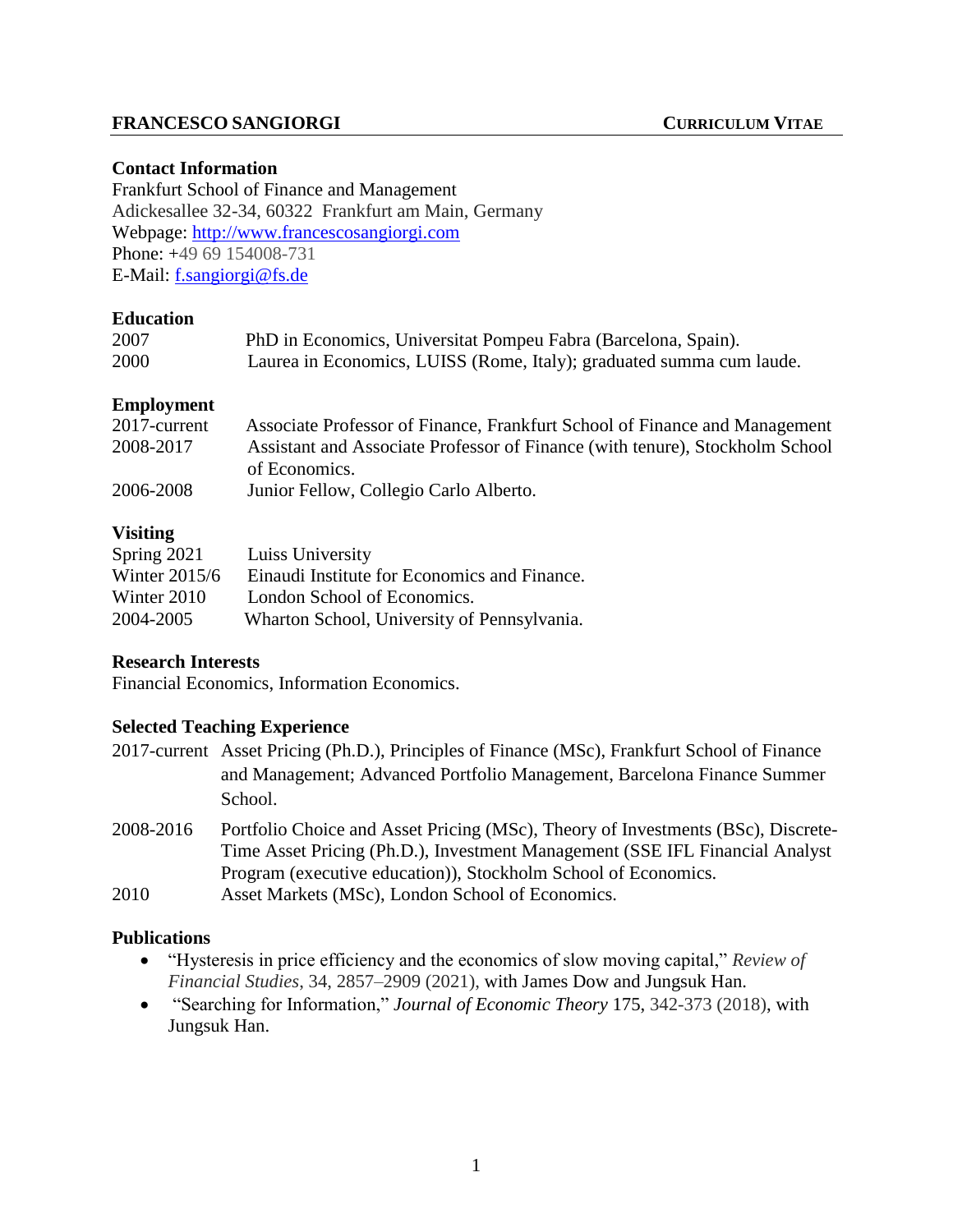# **FRANCESCO SANGIORGI CURRICULUM VITAE**

#### **Contact Information**

Frankfurt School of Finance and Management Adickesallee 32-34, 60322 Frankfurt am Main, Germany Webpage: [http://www.francescosangiorgi.com](http://www.francescosangiorgi.com/) Phone: +49 69 154008-731 E-Mail: [f.sangiorgi@fs.de](mailto:f.sangiorgi@fs.de)

#### **Education**

| 2007 | PhD in Economics, Universitat Pompeu Fabra (Barcelona, Spain).       |
|------|----------------------------------------------------------------------|
| 2000 | Laurea in Economics, LUISS (Rome, Italy); graduated summa cum laude. |

# **Employment**

| 2017-current | Associate Professor of Finance, Frankfurt School of Finance and Management   |
|--------------|------------------------------------------------------------------------------|
| 2008-2017    | Assistant and Associate Professor of Finance (with tenure), Stockholm School |
|              | of Economics.                                                                |
| 2006-2008    | Junior Fellow, Collegio Carlo Alberto.                                       |
|              |                                                                              |

# **Visiting**

| Spring $2021$   | Luiss University                             |
|-----------------|----------------------------------------------|
| Winter $2015/6$ | Einaudi Institute for Economics and Finance. |
| Winter 2010     | London School of Economics.                  |
| 2004-2005       | Wharton School, University of Pennsylvania.  |

#### **Research Interests**

Financial Economics, Information Economics.

#### **Selected Teaching Experience**

- 2017-current Asset Pricing (Ph.D.), Principles of Finance (MSc), Frankfurt School of Finance and Management; Advanced Portfolio Management, Barcelona Finance Summer School.
- 2008-2016 Portfolio Choice and Asset Pricing (MSc), Theory of Investments (BSc), Discrete-Time Asset Pricing (Ph.D.), Investment Management (SSE IFL Financial Analyst Program (executive education)), Stockholm School of Economics.
- 2010 Asset Markets (MSc), London School of Economics.

#### **Publications**

- "Hysteresis in price efficiency and the economics of slow moving capital," *Review of Financial Studies*, 34, 2857–2909 (2021), with James Dow and Jungsuk Han.
- "Searching for Information," *Journal of Economic Theory* 175, 342-373 (2018), with Jungsuk Han.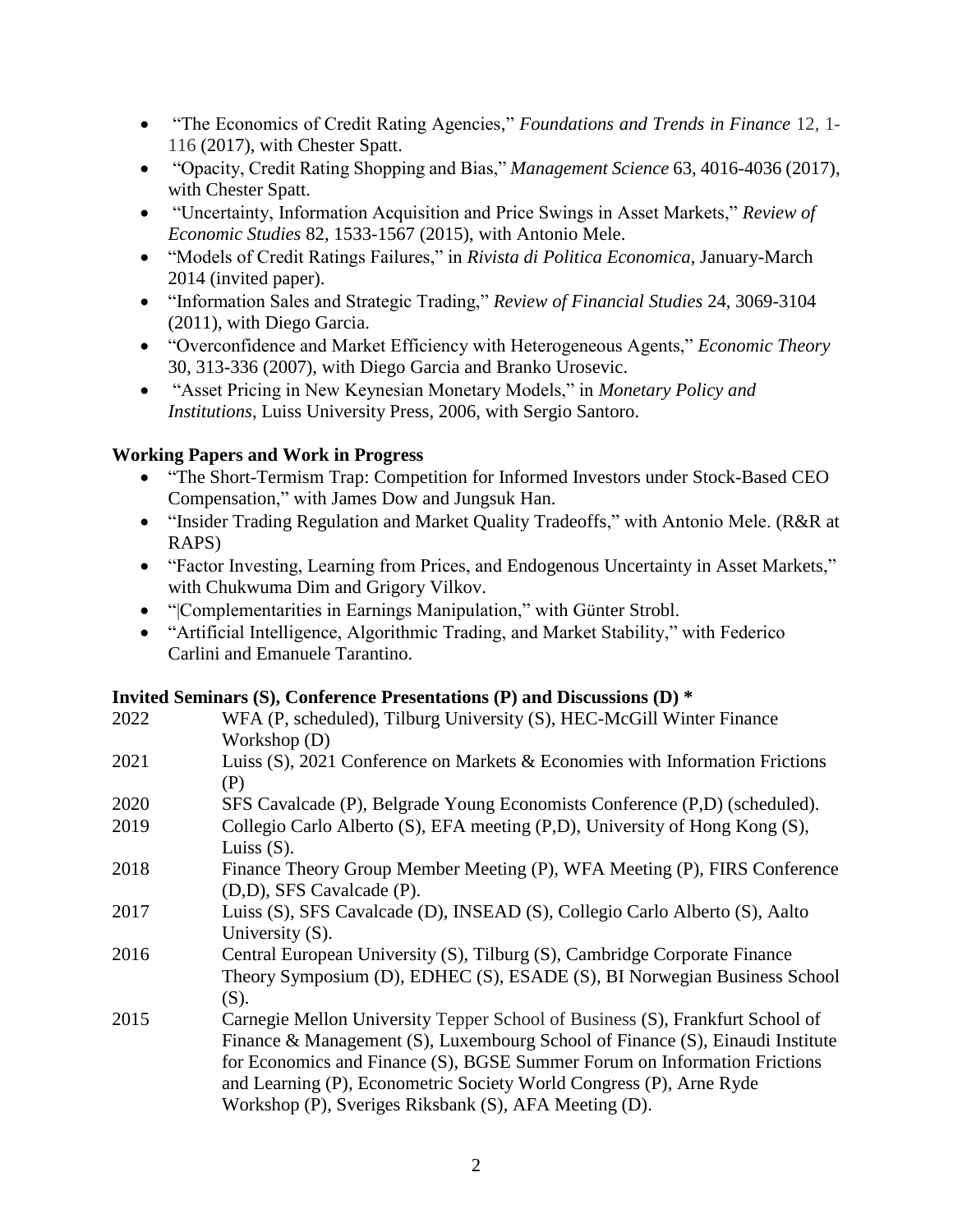- "The Economics of Credit Rating Agencies," *Foundations and Trends in Finance* 12, 1- 116 (2017), with Chester Spatt.
- "Opacity, Credit Rating Shopping and Bias," *Management Science* 63, 4016-4036 (2017), with Chester Spatt.
- "Uncertainty, Information Acquisition and Price Swings in Asset Markets," *Review of Economic Studies* 82, 1533-1567 (2015), with Antonio Mele.
- "Models of Credit Ratings Failures," in *Rivista di Politica Economica*, January-March 2014 (invited paper).
- "Information Sales and Strategic Trading," *Review of Financial Studies* 24, 3069-3104 (2011), with Diego Garcia.
- "Overconfidence and Market Efficiency with Heterogeneous Agents," *Economic Theory* 30, 313-336 (2007), with Diego Garcia and Branko Urosevic.
- "Asset Pricing in New Keynesian Monetary Models," in *Monetary Policy and Institutions*, Luiss University Press, 2006, with Sergio Santoro.

# **Working Papers and Work in Progress**

- "The Short-Termism Trap: Competition for Informed Investors under Stock-Based CEO Compensation," with James Dow and Jungsuk Han.
- "Insider Trading Regulation and Market Quality Tradeoffs," with Antonio Mele. (R&R at RAPS)
- "Factor Investing, Learning from Prices, and Endogenous Uncertainty in Asset Markets," with Chukwuma Dim and Grigory Vilkov.
- "|Complementarities in Earnings Manipulation," with Günter Strobl.
- "Artificial Intelligence, Algorithmic Trading, and Market Stability," with Federico Carlini and Emanuele Tarantino.

# **Invited Seminars (S), Conference Presentations (P) and Discussions (D) \***

| 2022 | WFA (P, scheduled), Tilburg University (S), HEC-McGill Winter Finance                        |
|------|----------------------------------------------------------------------------------------------|
|      | Workshop $(D)$                                                                               |
| 2021 | Luiss $(S)$ , 2021 Conference on Markets & Economies with Information Frictions              |
|      | (P)                                                                                          |
| 2020 | SFS Cavalcade (P), Belgrade Young Economists Conference (P,D) (scheduled).                   |
| 2019 | Collegio Carlo Alberto (S), EFA meeting (P,D), University of Hong Kong (S),<br>Luiss $(S)$ . |
| 2018 | Finance Theory Group Member Meeting (P), WFA Meeting (P), FIRS Conference                    |
|      | (D,D), SFS Cavalcade (P).                                                                    |
| 2017 | Luiss (S), SFS Cavalcade (D), INSEAD (S), Collegio Carlo Alberto (S), Aalto                  |
|      | University $(S)$ .                                                                           |
| 2016 | Central European University (S), Tilburg (S), Cambridge Corporate Finance                    |
|      | Theory Symposium (D), EDHEC (S), ESADE (S), BI Norwegian Business School                     |
|      | (S).                                                                                         |
| 2015 | Carnegie Mellon University Tepper School of Business (S), Frankfurt School of                |
|      | Finance & Management (S), Luxembourg School of Finance (S), Einaudi Institute                |
|      | for Economics and Finance (S), BGSE Summer Forum on Information Frictions                    |
|      | and Learning (P), Econometric Society World Congress (P), Arne Ryde                          |
|      | Workshop (P), Sveriges Riksbank (S), AFA Meeting (D).                                        |